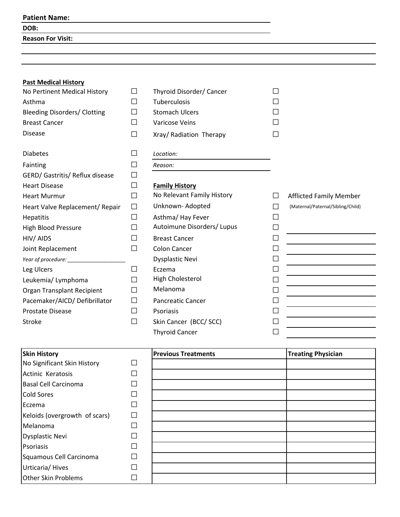#### **Patient Name:**

### **DOB:**

**Reason For Visit:**

## **Past Medical History**

| No Pertinent Medical History        | Ш            | Thyroid Disorder/ Cancer   | $\mathsf{L}$             |                                   |
|-------------------------------------|--------------|----------------------------|--------------------------|-----------------------------------|
| Asthma                              | П            | Tuberculosis               |                          |                                   |
| <b>Bleeding Disorders/ Clotting</b> | $\mathsf{L}$ | <b>Stomach Ulcers</b>      |                          |                                   |
| <b>Breast Cancer</b>                | П            | Varicose Veins             |                          |                                   |
| <b>Disease</b>                      | $\Box$       | Xray/ Radiation Therapy    | $\blacksquare$           |                                   |
| <b>Diabetes</b>                     | $\Box$       | Location:                  |                          |                                   |
| Fainting                            | $\Box$       | Reason:                    |                          |                                   |
| GERD/ Gastritis/ Reflux disease     | П            |                            |                          |                                   |
| <b>Heart Disease</b>                | $\Box$       | <b>Family History</b>      |                          |                                   |
| <b>Heart Murmur</b>                 | $\Box$       | No Relevant Family History |                          | <b>Afflicted Family Member</b>    |
| Heart Valve Replacement/ Repair     | $\Box$       | Unknown-Adopted            | $\mathsf{L}$             | (Maternal/Paternal/Sibling/Child) |
| Hepatitis                           | П            | Asthma/ Hay Fever          | $\mathsf{L}$             |                                   |
| <b>High Blood Pressure</b>          | П            | Autoimune Disorders/Lupus  | $\mathsf{L}$             |                                   |
| HIV/AIDS                            | $\mathsf{L}$ | <b>Breast Cancer</b>       | $\mathsf{L}$             |                                   |
| Joint Replacement                   | П            | <b>Colon Cancer</b>        | $\mathsf{L}$             |                                   |
| Year of procedure:                  |              | <b>Dysplastic Nevi</b>     | $\overline{\phantom{0}}$ |                                   |
| Leg Ulcers                          | $\mathsf{L}$ | Eczema                     | $\mathsf{L}$             |                                   |
| Leukemia/ Lymphoma                  | $\mathsf{L}$ | High Cholesterol           |                          |                                   |
| Organ Transplant Recipient          | П            | Melanoma                   |                          |                                   |
| Pacemaker/AICD/ Defibrillator       | $\Box$       | <b>Pancreatic Cancer</b>   |                          |                                   |
| Prostate Disease                    | П            | Psoriasis                  |                          |                                   |
| <b>Stroke</b>                       | $\Box$       | Skin Cancer (BCC/SCC)      |                          |                                   |
|                                     |              | <b>Thyroid Cancer</b>      |                          |                                   |

| <b>Skin History</b>           |   | <b>Previous Treatments</b> | <b>Treating Physician</b> |
|-------------------------------|---|----------------------------|---------------------------|
| No Significant Skin History   |   |                            |                           |
| Actinic Keratosis             |   |                            |                           |
| <b>Basal Cell Carcinoma</b>   |   |                            |                           |
| <b>Cold Sores</b>             | П |                            |                           |
| Eczema                        | П |                            |                           |
| Keloids (overgrowth of scars) | П |                            |                           |
| Melanoma                      |   |                            |                           |
| <b>Dysplastic Nevi</b>        | П |                            |                           |
| Psoriasis                     |   |                            |                           |
| Squamous Cell Carcinoma       |   |                            |                           |
| Urticaria/Hives               |   |                            |                           |
| <b>Other Skin Problems</b>    |   |                            |                           |